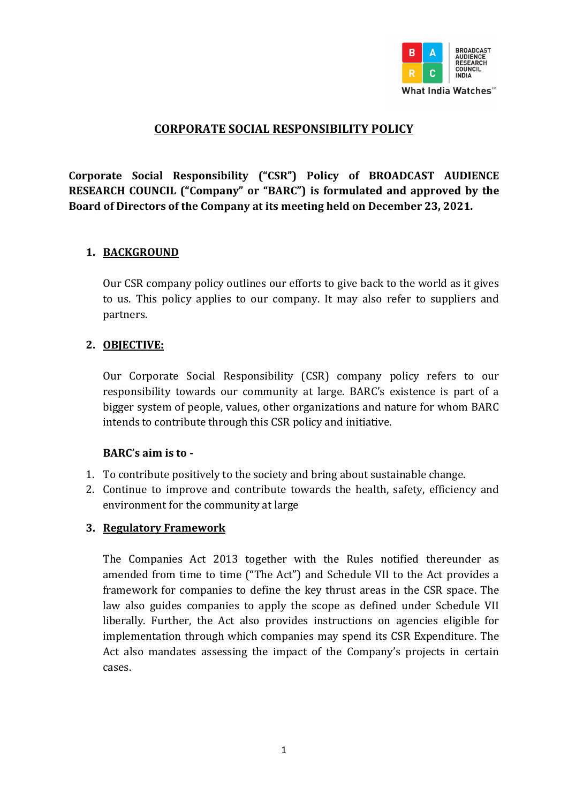

# CORPORATE SOCIAL RESPONSIBILITY POLICY

Corporate Social Responsibility ("CSR") Policy of BROADCAST AUDIENCE RESEARCH COUNCIL ("Company" or "BARC") is formulated and approved by the Board of Directors of the Company at its meeting held on December 23, 2021.

#### 1. BACKGROUND

Our CSR company policy outlines our efforts to give back to the world as it gives to us. This policy applies to our company. It may also refer to suppliers and partners.

#### 2. OBJECTIVE:

Our Corporate Social Responsibility (CSR) company policy refers to our responsibility towards our community at large. BARC's existence is part of a bigger system of people, values, other organizations and nature for whom BARC intends to contribute through this CSR policy and initiative.

#### BARC's aim is to -

- 1. To contribute positively to the society and bring about sustainable change.
- 2. Continue to improve and contribute towards the health, safety, efficiency and environment for the community at large

#### 3. Regulatory Framework

The Companies Act 2013 together with the Rules notified thereunder as amended from time to time ("The Act") and Schedule VII to the Act provides a framework for companies to define the key thrust areas in the CSR space. The law also guides companies to apply the scope as defined under Schedule VII liberally. Further, the Act also provides instructions on agencies eligible for implementation through which companies may spend its CSR Expenditure. The Act also mandates assessing the impact of the Company's projects in certain cases.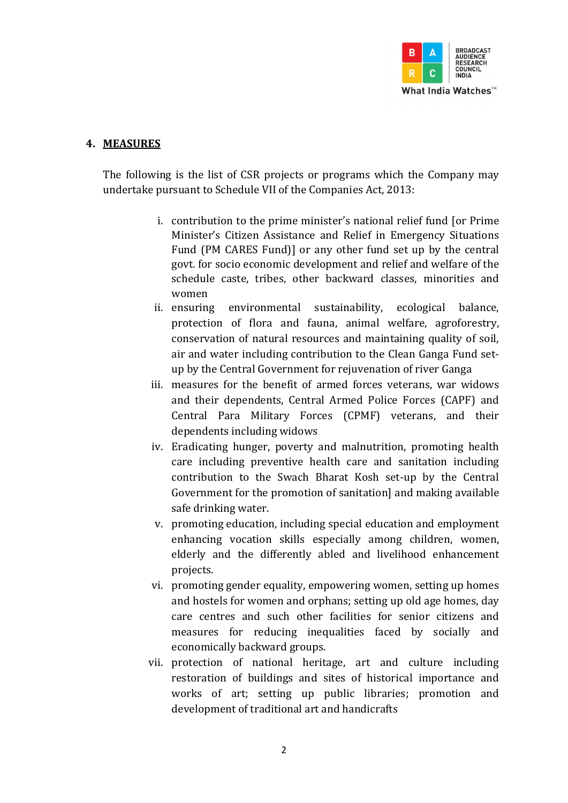

#### 4. MEASURES

The following is the list of CSR projects or programs which the Company may undertake pursuant to Schedule VII of the Companies Act, 2013:

- i. contribution to the prime minister's national relief fund [or Prime Minister's Citizen Assistance and Relief in Emergency Situations Fund (PM CARES Fund)] or any other fund set up by the central govt. for socio economic development and relief and welfare of the schedule caste, tribes, other backward classes, minorities and women
- ii. ensuring environmental sustainability, ecological balance, protection of flora and fauna, animal welfare, agroforestry, conservation of natural resources and maintaining quality of soil, air and water including contribution to the Clean Ganga Fund setup by the Central Government for rejuvenation of river Ganga
- iii. measures for the benefit of armed forces veterans, war widows and their dependents, Central Armed Police Forces (CAPF) and Central Para Military Forces (CPMF) veterans, and their dependents including widows
- iv. Eradicating hunger, poverty and malnutrition, promoting health care including preventive health care and sanitation including contribution to the Swach Bharat Kosh set-up by the Central Government for the promotion of sanitation] and making available safe drinking water.
- v. promoting education, including special education and employment enhancing vocation skills especially among children, women, elderly and the differently abled and livelihood enhancement projects.
- vi. promoting gender equality, empowering women, setting up homes and hostels for women and orphans; setting up old age homes, day care centres and such other facilities for senior citizens and measures for reducing inequalities faced by socially and economically backward groups.
- vii. protection of national heritage, art and culture including restoration of buildings and sites of historical importance and works of art; setting up public libraries; promotion and development of traditional art and handicrafts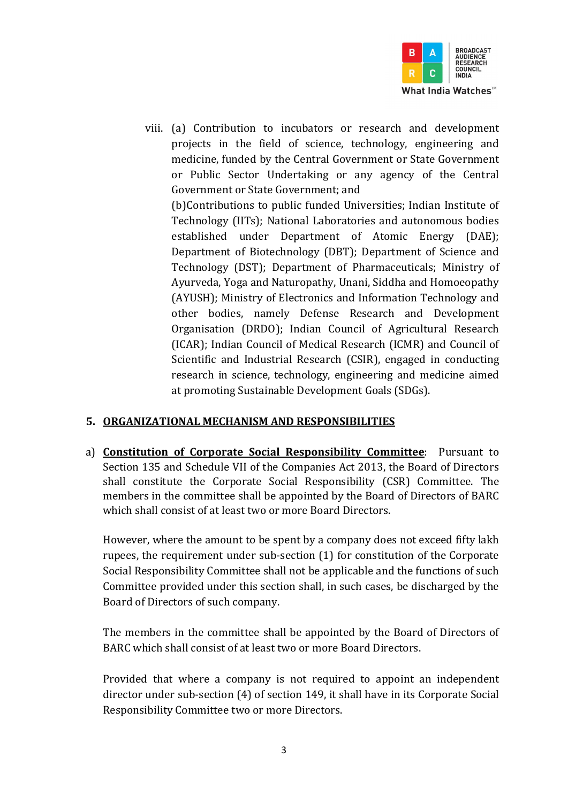

viii. (a) Contribution to incubators or research and development projects in the field of science, technology, engineering and medicine, funded by the Central Government or State Government or Public Sector Undertaking or any agency of the Central Government or State Government; and

(b)Contributions to public funded Universities; Indian Institute of Technology (IITs); National Laboratories and autonomous bodies established under Department of Atomic Energy (DAE); Department of Biotechnology (DBT); Department of Science and Technology (DST); Department of Pharmaceuticals; Ministry of Ayurveda, Yoga and Naturopathy, Unani, Siddha and Homoeopathy (AYUSH); Ministry of Electronics and Information Technology and other bodies, namely Defense Research and Development Organisation (DRDO); Indian Council of Agricultural Research (ICAR); Indian Council of Medical Research (ICMR) and Council of Scientific and Industrial Research (CSIR), engaged in conducting research in science, technology, engineering and medicine aimed at promoting Sustainable Development Goals (SDGs).

# 5. ORGANIZATIONAL MECHANISM AND RESPONSIBILITIES

a) Constitution of Corporate Social Responsibility Committee: Pursuant to Section 135 and Schedule VII of the Companies Act 2013, the Board of Directors shall constitute the Corporate Social Responsibility (CSR) Committee. The members in the committee shall be appointed by the Board of Directors of BARC which shall consist of at least two or more Board Directors.

However, where the amount to be spent by a company does not exceed fifty lakh rupees, the requirement under sub-section (1) for constitution of the Corporate Social Responsibility Committee shall not be applicable and the functions of such Committee provided under this section shall, in such cases, be discharged by the Board of Directors of such company.

The members in the committee shall be appointed by the Board of Directors of BARC which shall consist of at least two or more Board Directors.

Provided that where a company is not required to appoint an independent director under sub-section (4) of section 149, it shall have in its Corporate Social Responsibility Committee two or more Directors.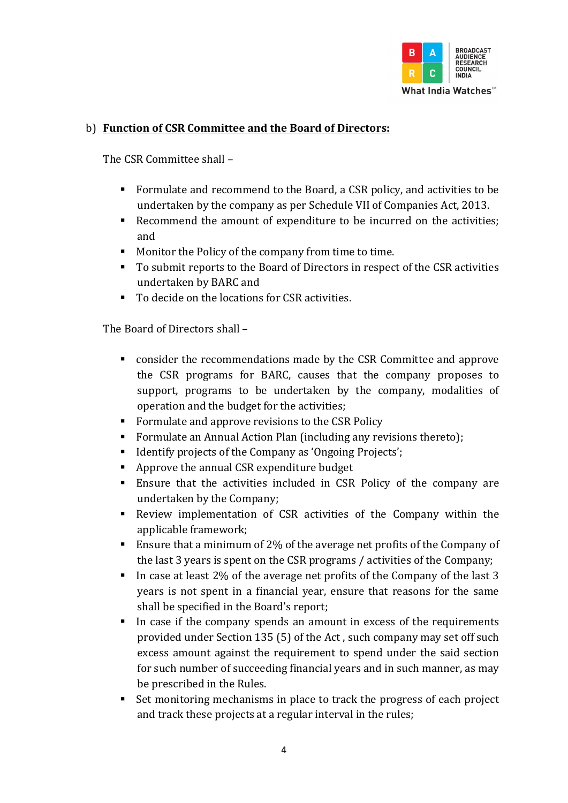

# b) Function of CSR Committee and the Board of Directors:

The CSR Committee shall –

- Formulate and recommend to the Board, a CSR policy, and activities to be undertaken by the company as per Schedule VII of Companies Act, 2013.
- Recommend the amount of expenditure to be incurred on the activities; and
- **Monitor the Policy of the company from time to time.**
- To submit reports to the Board of Directors in respect of the CSR activities undertaken by BARC and
- To decide on the locations for CSR activities.

The Board of Directors shall –

- consider the recommendations made by the CSR Committee and approve the CSR programs for BARC, causes that the company proposes to support, programs to be undertaken by the company, modalities of operation and the budget for the activities;
- Formulate and approve revisions to the CSR Policy
- Formulate an Annual Action Plan (including any revisions thereto);
- Identify projects of the Company as 'Ongoing Projects';
- Approve the annual CSR expenditure budget
- Ensure that the activities included in CSR Policy of the company are undertaken by the Company;
- Review implementation of CSR activities of the Company within the applicable framework;
- **Ensure that a minimum of 2% of the average net profits of the Company of** the last 3 years is spent on the CSR programs / activities of the Company;
- In case at least 2% of the average net profits of the Company of the last 3 years is not spent in a financial year, ensure that reasons for the same shall be specified in the Board's report;
- In case if the company spends an amount in excess of the requirements provided under Section 135 (5) of the Act , such company may set off such excess amount against the requirement to spend under the said section for such number of succeeding financial years and in such manner, as may be prescribed in the Rules.
- Set monitoring mechanisms in place to track the progress of each project and track these projects at a regular interval in the rules;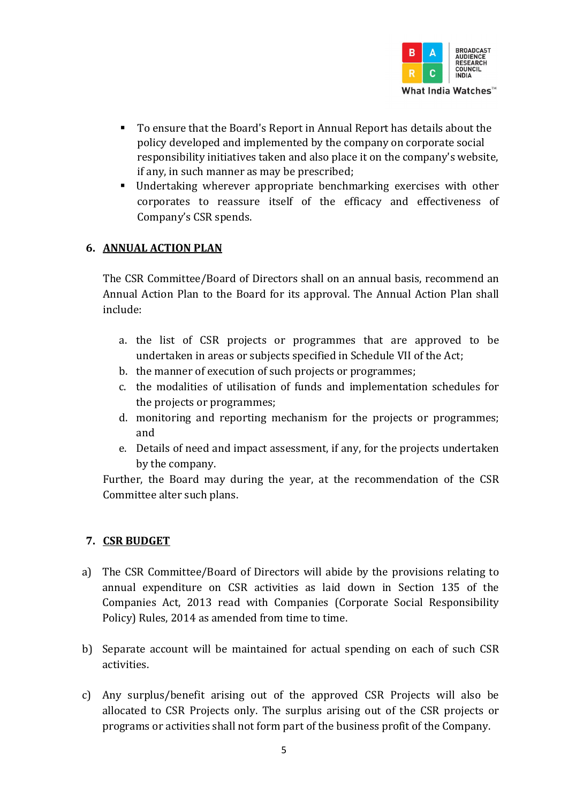

- To ensure that the Board's Report in Annual Report has details about the policy developed and implemented by the company on corporate social responsibility initiatives taken and also place it on the company's website, if any, in such manner as may be prescribed;
- Undertaking wherever appropriate benchmarking exercises with other corporates to reassure itself of the efficacy and effectiveness of Company's CSR spends.

# 6. ANNUAL ACTION PLAN

The CSR Committee/Board of Directors shall on an annual basis, recommend an Annual Action Plan to the Board for its approval. The Annual Action Plan shall include:

- a. the list of CSR projects or programmes that are approved to be undertaken in areas or subjects specified in Schedule VII of the Act;
- b. the manner of execution of such projects or programmes;
- c. the modalities of utilisation of funds and implementation schedules for the projects or programmes;
- d. monitoring and reporting mechanism for the projects or programmes; and
- e. Details of need and impact assessment, if any, for the projects undertaken by the company.

Further, the Board may during the year, at the recommendation of the CSR Committee alter such plans.

# 7. CSR BUDGET

- a) The CSR Committee/Board of Directors will abide by the provisions relating to annual expenditure on CSR activities as laid down in Section 135 of the Companies Act, 2013 read with Companies (Corporate Social Responsibility Policy) Rules, 2014 as amended from time to time.
- b) Separate account will be maintained for actual spending on each of such CSR activities.
- c) Any surplus/benefit arising out of the approved CSR Projects will also be allocated to CSR Projects only. The surplus arising out of the CSR projects or programs or activities shall not form part of the business profit of the Company.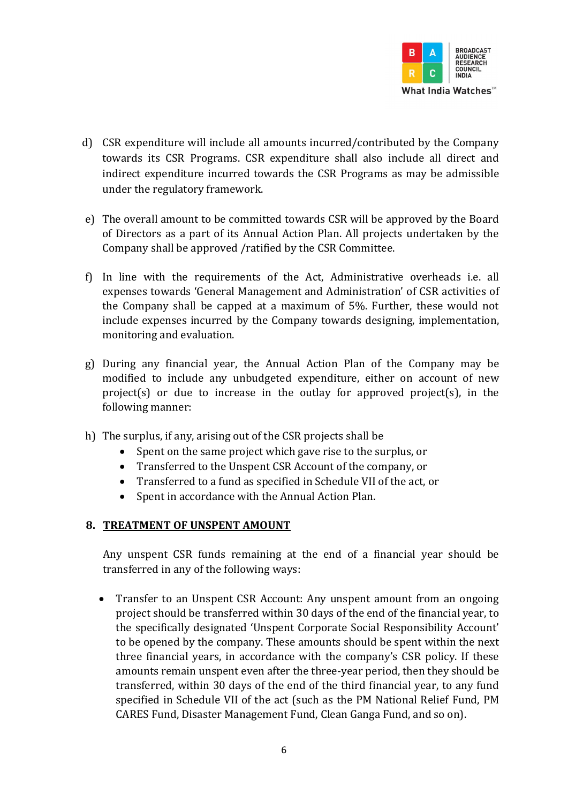

- d) CSR expenditure will include all amounts incurred/contributed by the Company towards its CSR Programs. CSR expenditure shall also include all direct and indirect expenditure incurred towards the CSR Programs as may be admissible under the regulatory framework.
- e) The overall amount to be committed towards CSR will be approved by the Board of Directors as a part of its Annual Action Plan. All projects undertaken by the Company shall be approved /ratified by the CSR Committee.
- f) In line with the requirements of the Act, Administrative overheads i.e. all expenses towards 'General Management and Administration' of CSR activities of the Company shall be capped at a maximum of 5%. Further, these would not include expenses incurred by the Company towards designing, implementation, monitoring and evaluation.
- g) During any financial year, the Annual Action Plan of the Company may be modified to include any unbudgeted expenditure, either on account of new project(s) or due to increase in the outlay for approved project(s), in the following manner:
- h) The surplus, if any, arising out of the CSR projects shall be
	- Spent on the same project which gave rise to the surplus, or
	- Transferred to the Unspent CSR Account of the company, or
	- Transferred to a fund as specified in Schedule VII of the act, or
	- Spent in accordance with the Annual Action Plan.

#### 8. TREATMENT OF UNSPENT AMOUNT

Any unspent CSR funds remaining at the end of a financial year should be transferred in any of the following ways:

• Transfer to an Unspent CSR Account: Any unspent amount from an ongoing project should be transferred within 30 days of the end of the financial year, to the specifically designated 'Unspent Corporate Social Responsibility Account' to be opened by the company. These amounts should be spent within the next three financial years, in accordance with the company's CSR policy. If these amounts remain unspent even after the three-year period, then they should be transferred, within 30 days of the end of the third financial year, to any fund specified in Schedule VII of the act (such as the PM National Relief Fund, PM CARES Fund, Disaster Management Fund, Clean Ganga Fund, and so on).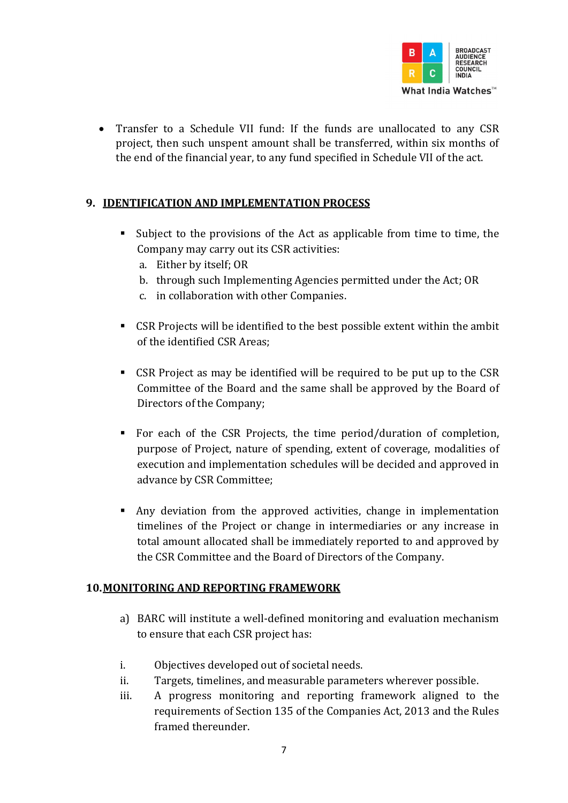

• Transfer to a Schedule VII fund: If the funds are unallocated to any CSR project, then such unspent amount shall be transferred, within six months of the end of the financial year, to any fund specified in Schedule VII of the act.

# 9. IDENTIFICATION AND IMPLEMENTATION PROCESS

- Subject to the provisions of the Act as applicable from time to time, the Company may carry out its CSR activities:
	- a. Either by itself; OR
	- b. through such Implementing Agencies permitted under the Act; OR
	- c. in collaboration with other Companies.
- CSR Projects will be identified to the best possible extent within the ambit of the identified CSR Areas;
- CSR Project as may be identified will be required to be put up to the CSR Committee of the Board and the same shall be approved by the Board of Directors of the Company;
- For each of the CSR Projects, the time period/duration of completion, purpose of Project, nature of spending, extent of coverage, modalities of execution and implementation schedules will be decided and approved in advance by CSR Committee;
- Any deviation from the approved activities, change in implementation timelines of the Project or change in intermediaries or any increase in total amount allocated shall be immediately reported to and approved by the CSR Committee and the Board of Directors of the Company.

#### 10.MONITORING AND REPORTING FRAMEWORK

- a) BARC will institute a well-defined monitoring and evaluation mechanism to ensure that each CSR project has:
- i. Objectives developed out of societal needs.
- ii. Targets, timelines, and measurable parameters wherever possible.
- iii. A progress monitoring and reporting framework aligned to the requirements of Section 135 of the Companies Act, 2013 and the Rules framed thereunder.